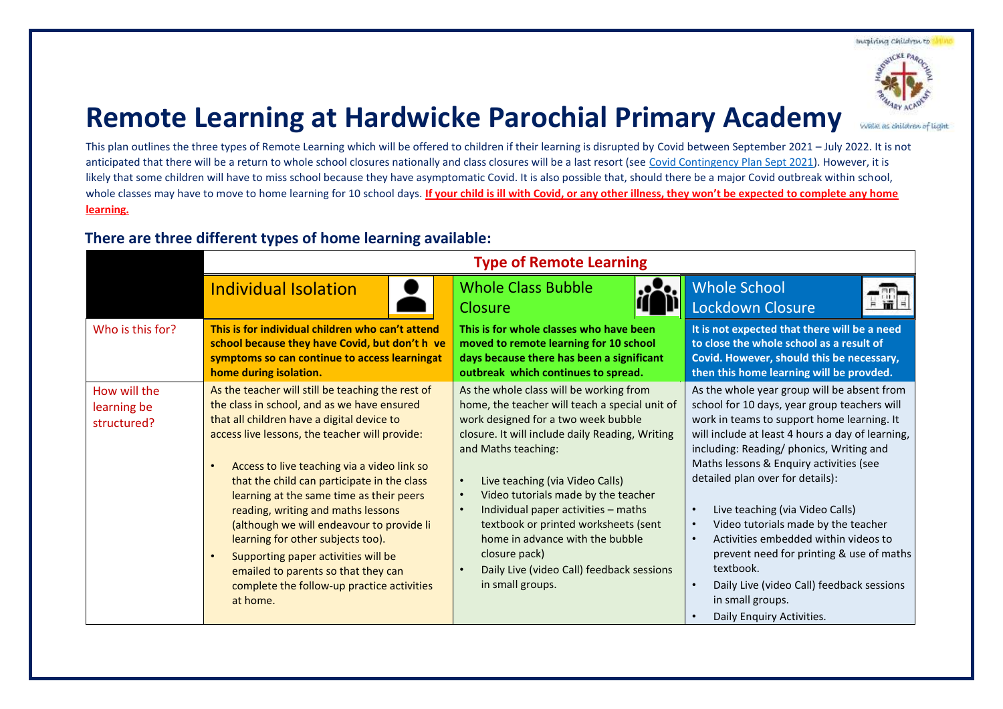Inspiring Children to



WASK as children of light

## **Remote Learning at Hardwicke Parochial Primary Academy**

This plan outlines the three types of Remote Learning which will be offered to children if their learning is disrupted by Covid between September 2021 – July 2022. It is not anticipated that there will be a return to whole school closures nationally and class closures will be a last resort (see [Covid Contingency Plan Sept 2021\)](https://hardwicke-parochial.eschools.co.uk/web/remote_education_offer/512473). However, it is likely that some children will have to miss school because they have asymptomatic Covid. It is also possible that, should there be a major Covid outbreak within school, whole classes may have to move to home learning for 10 school days. **If your child is ill with Covid, or any other illness, they won't be expected to complete any home learning.**

## **There are three different types of home learning available:**

|                                            | <b>Type of Remote Learning</b>                                                                                                                                                                                                                                                                                                                                                                                                                                                                                                                                                                             |                                                                                                                                                                                                                                                                                                                                                                                                                                                                                          |                                                                                                                                                                                                                                                                                                                                                                                                                                                                                                                                                                                                                                                       |
|--------------------------------------------|------------------------------------------------------------------------------------------------------------------------------------------------------------------------------------------------------------------------------------------------------------------------------------------------------------------------------------------------------------------------------------------------------------------------------------------------------------------------------------------------------------------------------------------------------------------------------------------------------------|------------------------------------------------------------------------------------------------------------------------------------------------------------------------------------------------------------------------------------------------------------------------------------------------------------------------------------------------------------------------------------------------------------------------------------------------------------------------------------------|-------------------------------------------------------------------------------------------------------------------------------------------------------------------------------------------------------------------------------------------------------------------------------------------------------------------------------------------------------------------------------------------------------------------------------------------------------------------------------------------------------------------------------------------------------------------------------------------------------------------------------------------------------|
|                                            | <b>Individual Isolation</b>                                                                                                                                                                                                                                                                                                                                                                                                                                                                                                                                                                                | <b>Whole Class Bubble</b><br>Closure                                                                                                                                                                                                                                                                                                                                                                                                                                                     | <b>Whole School</b><br><b>Lockdown Closure</b>                                                                                                                                                                                                                                                                                                                                                                                                                                                                                                                                                                                                        |
| Who is this for?                           | This is for individual children who can't attend<br>school because they have Covid, but don't h ve<br>symptoms so can continue to access learningat<br>home during isolation.                                                                                                                                                                                                                                                                                                                                                                                                                              | This is for whole classes who have been<br>moved to remote learning for 10 school<br>days because there has been a significant<br>outbreak which continues to spread.                                                                                                                                                                                                                                                                                                                    | It is not expected that there will be a need<br>to close the whole school as a result of<br>Covid. However, should this be necessary,<br>then this home learning will be provded.                                                                                                                                                                                                                                                                                                                                                                                                                                                                     |
| How will the<br>learning be<br>structured? | As the teacher will still be teaching the rest of<br>the class in school, and as we have ensured<br>that all children have a digital device to<br>access live lessons, the teacher will provide:<br>Access to live teaching via a video link so<br>that the child can participate in the class<br>learning at the same time as their peers<br>reading, writing and maths lessons<br>(although we will endeavour to provide li<br>learning for other subjects too).<br>Supporting paper activities will be<br>emailed to parents so that they can<br>complete the follow-up practice activities<br>at home. | As the whole class will be working from<br>home, the teacher will teach a special unit of<br>work designed for a two week bubble<br>closure. It will include daily Reading, Writing<br>and Maths teaching:<br>Live teaching (via Video Calls)<br>Video tutorials made by the teacher<br>Individual paper activities - maths<br>textbook or printed worksheets (sent<br>home in advance with the bubble<br>closure pack)<br>Daily Live (video Call) feedback sessions<br>in small groups. | As the whole year group will be absent from<br>school for 10 days, year group teachers will<br>work in teams to support home learning. It<br>will include at least 4 hours a day of learning,<br>including: Reading/ phonics, Writing and<br>Maths lessons & Enquiry activities (see<br>detailed plan over for details):<br>Live teaching (via Video Calls)<br>$\bullet$<br>Video tutorials made by the teacher<br>$\bullet$<br>Activities embedded within videos to<br>$\bullet$<br>prevent need for printing & use of maths<br>textbook.<br>Daily Live (video Call) feedback sessions<br>$\bullet$<br>in small groups.<br>Daily Enquiry Activities. |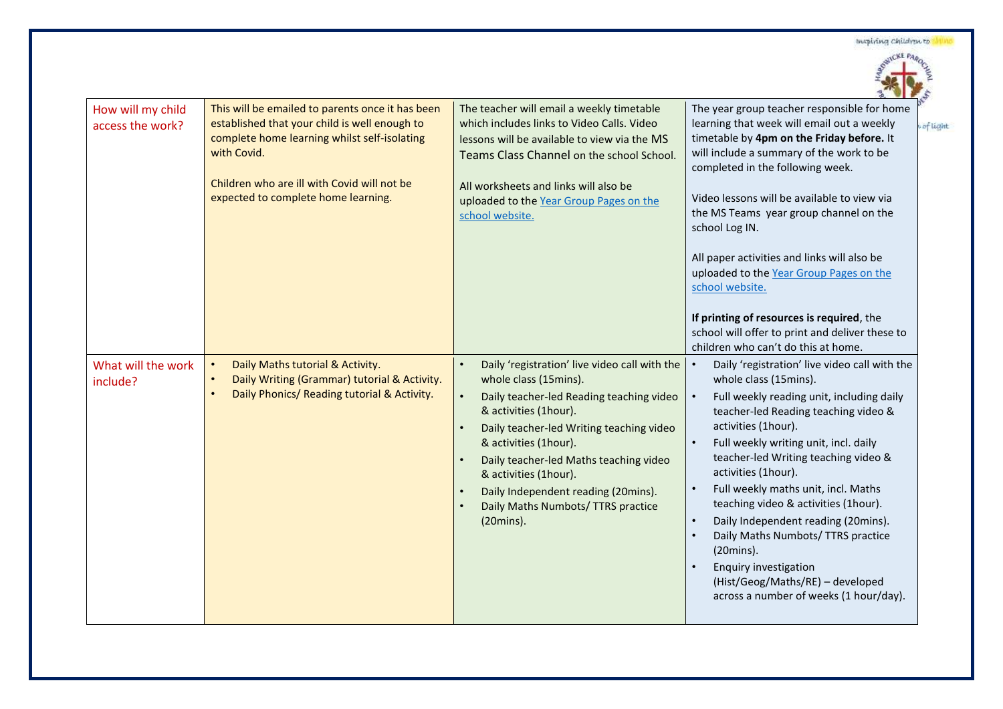|  | Inspiring Children to |  |
|--|-----------------------|--|
|--|-----------------------|--|



u of light

| How will my child<br>access the work? | This will be emailed to parents once it has been<br>established that your child is well enough to<br>complete home learning whilst self-isolating<br>with Covid.<br>Children who are ill with Covid will not be<br>expected to complete home learning. | The teacher will email a weekly timetable<br>which includes links to Video Calls. Video<br>lessons will be available to view via the MS<br>Teams Class Channel on the school School.<br>All worksheets and links will also be<br>uploaded to the Year Group Pages on the<br>school website.                                                                                                             | The year group teacher responsible for home<br>learning that week will email out a weekly<br>timetable by 4pm on the Friday before. It<br>will include a summary of the work to be<br>completed in the following week.<br>Video lessons will be available to view via<br>the MS Teams year group channel on the<br>school Log IN.<br>All paper activities and links will also be<br>uploaded to the Year Group Pages on the<br>school website.<br>If printing of resources is required, the<br>school will offer to print and deliver these to<br>children who can't do this at home. |
|---------------------------------------|--------------------------------------------------------------------------------------------------------------------------------------------------------------------------------------------------------------------------------------------------------|---------------------------------------------------------------------------------------------------------------------------------------------------------------------------------------------------------------------------------------------------------------------------------------------------------------------------------------------------------------------------------------------------------|---------------------------------------------------------------------------------------------------------------------------------------------------------------------------------------------------------------------------------------------------------------------------------------------------------------------------------------------------------------------------------------------------------------------------------------------------------------------------------------------------------------------------------------------------------------------------------------|
| What will the work<br>include?        | Daily Maths tutorial & Activity.<br>Daily Writing (Grammar) tutorial & Activity.<br>Daily Phonics/ Reading tutorial & Activity.                                                                                                                        | Daily 'registration' live video call with the<br>$\bullet$<br>whole class (15mins).<br>$\bullet$<br>Daily teacher-led Reading teaching video<br>& activities (1hour).<br>Daily teacher-led Writing teaching video<br>& activities (1hour).<br>Daily teacher-led Maths teaching video<br>& activities (1hour).<br>Daily Independent reading (20mins).<br>Daily Maths Numbots/ TTRS practice<br>(20mins). | Daily 'registration' live video call with the<br>whole class (15mins).<br>Full weekly reading unit, including daily<br>teacher-led Reading teaching video &<br>activities (1hour).<br>Full weekly writing unit, incl. daily<br>teacher-led Writing teaching video &<br>activities (1hour).<br>Full weekly maths unit, incl. Maths<br>teaching video & activities (1hour).<br>Daily Independent reading (20mins).<br>Daily Maths Numbots/ TTRS practice<br>(20mins).<br><b>Enquiry investigation</b><br>(Hist/Geog/Maths/RE) - developed<br>across a number of weeks (1 hour/day).     |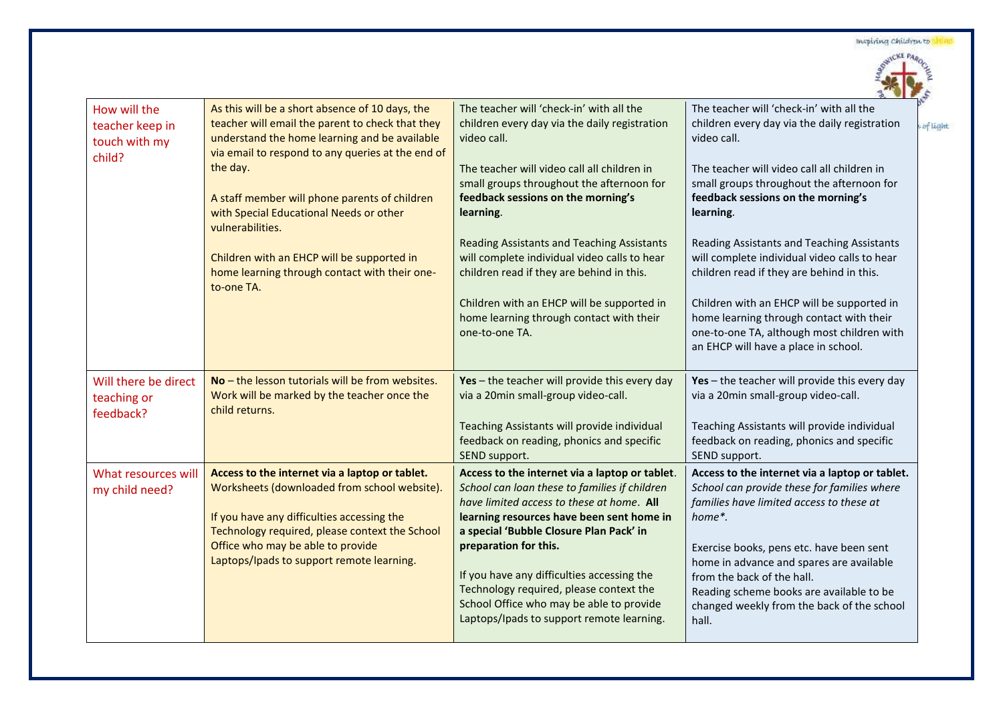Inspiring children to



u of light

|                                                            |                                                                                                                                                                                                           |                                                                                                                                                                                                         | ur                                                                                                                                                                                                                    |
|------------------------------------------------------------|-----------------------------------------------------------------------------------------------------------------------------------------------------------------------------------------------------------|---------------------------------------------------------------------------------------------------------------------------------------------------------------------------------------------------------|-----------------------------------------------------------------------------------------------------------------------------------------------------------------------------------------------------------------------|
| How will the<br>teacher keep in<br>touch with my<br>child? | As this will be a short absence of 10 days, the<br>teacher will email the parent to check that they<br>understand the home learning and be available<br>via email to respond to any queries at the end of | The teacher will 'check-in' with all the<br>children every day via the daily registration<br>video call.                                                                                                | The teacher will 'check-in' with all the<br>children every day via the daily registration<br>video call.                                                                                                              |
|                                                            | the day.<br>A staff member will phone parents of children<br>with Special Educational Needs or other                                                                                                      | The teacher will video call all children in<br>small groups throughout the afternoon for<br>feedback sessions on the morning's<br>learning.                                                             | The teacher will video call all children in<br>small groups throughout the afternoon for<br>feedback sessions on the morning's<br>learning.                                                                           |
|                                                            | vulnerabilities.                                                                                                                                                                                          |                                                                                                                                                                                                         |                                                                                                                                                                                                                       |
|                                                            | Children with an EHCP will be supported in<br>home learning through contact with their one-<br>to-one TA.                                                                                                 | <b>Reading Assistants and Teaching Assistants</b><br>will complete individual video calls to hear<br>children read if they are behind in this.                                                          | Reading Assistants and Teaching Assistants<br>will complete individual video calls to hear<br>children read if they are behind in this.                                                                               |
|                                                            |                                                                                                                                                                                                           | Children with an EHCP will be supported in<br>home learning through contact with their<br>one-to-one TA.                                                                                                | Children with an EHCP will be supported in<br>home learning through contact with their<br>one-to-one TA, although most children with<br>an EHCP will have a place in school.                                          |
| Will there be direct<br>teaching or<br>feedback?           | $No$ – the lesson tutorials will be from websites.<br>Work will be marked by the teacher once the<br>child returns.                                                                                       | Yes - the teacher will provide this every day<br>via a 20min small-group video-call.                                                                                                                    | Yes - the teacher will provide this every day<br>via a 20min small-group video-call.                                                                                                                                  |
|                                                            |                                                                                                                                                                                                           | Teaching Assistants will provide individual<br>feedback on reading, phonics and specific<br>SEND support.                                                                                               | Teaching Assistants will provide individual<br>feedback on reading, phonics and specific<br>SEND support.                                                                                                             |
| What resources will<br>my child need?                      | Access to the internet via a laptop or tablet.<br>Worksheets (downloaded from school website).                                                                                                            | Access to the internet via a laptop or tablet.<br>School can loan these to families if children<br>have limited access to these at home. All                                                            | Access to the internet via a laptop or tablet.<br>School can provide these for families where<br>families have limited access to these at                                                                             |
|                                                            | If you have any difficulties accessing the<br>Technology required, please context the School                                                                                                              | learning resources have been sent home in<br>a special 'Bubble Closure Plan Pack' in                                                                                                                    | home*.                                                                                                                                                                                                                |
|                                                            | Office who may be able to provide<br>Laptops/Ipads to support remote learning.                                                                                                                            | preparation for this.<br>If you have any difficulties accessing the<br>Technology required, please context the<br>School Office who may be able to provide<br>Laptops/Ipads to support remote learning. | Exercise books, pens etc. have been sent<br>home in advance and spares are available<br>from the back of the hall.<br>Reading scheme books are available to be<br>changed weekly from the back of the school<br>hall. |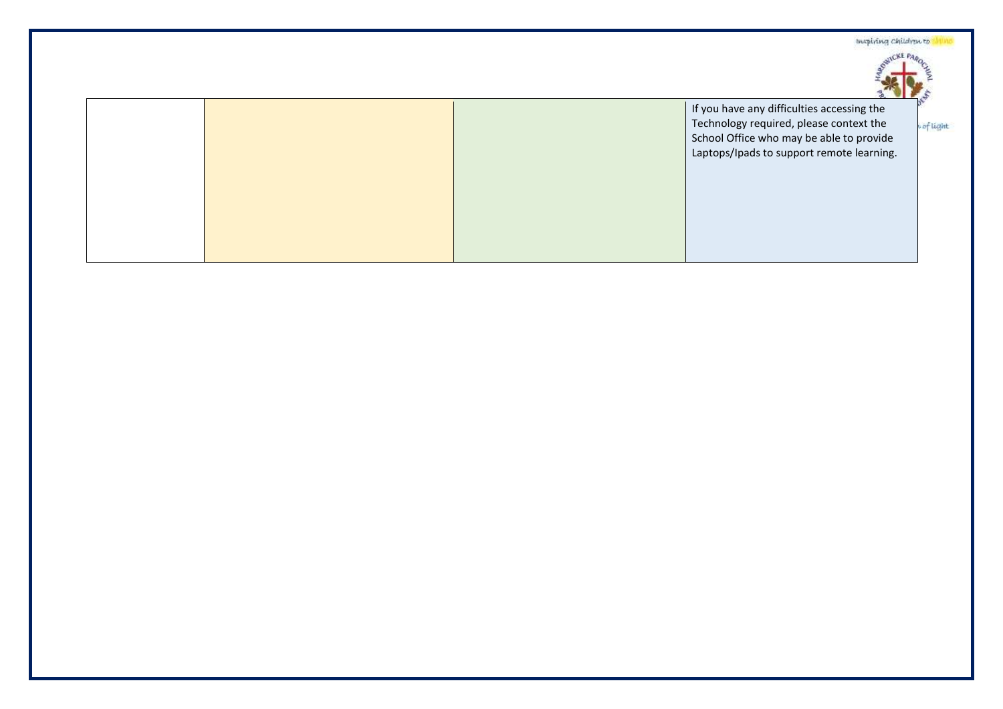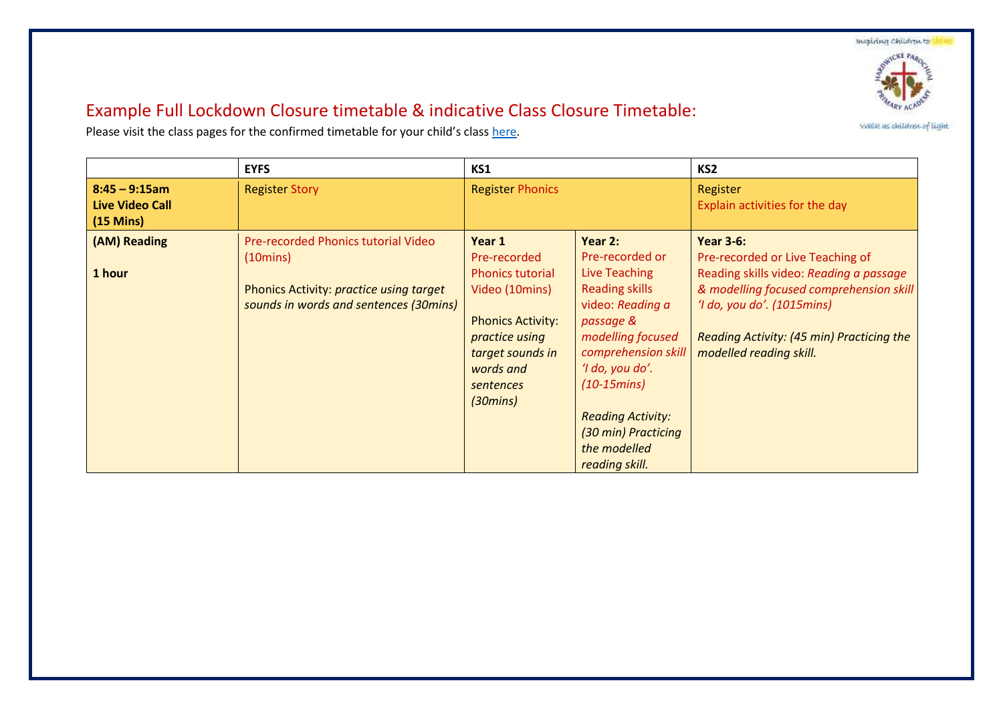Inspiring Children to



Welle as children of light

## Example Full Lockdown Closure timetable & indicative Class Closure Timetable:

Please visit the class pages for the confirmed timetable for your child's class [here.](https://hardwicke-parochial.eschools.co.uk/web/home_learning_/511441)

|                                                                  | <b>EYFS</b>                                                                                                                                           | KS1                                                                                                                                                                          |                                                                                                                                                                                                                                                                                    | KS <sub>2</sub>                                                                                                                                                                                                                                  |
|------------------------------------------------------------------|-------------------------------------------------------------------------------------------------------------------------------------------------------|------------------------------------------------------------------------------------------------------------------------------------------------------------------------------|------------------------------------------------------------------------------------------------------------------------------------------------------------------------------------------------------------------------------------------------------------------------------------|--------------------------------------------------------------------------------------------------------------------------------------------------------------------------------------------------------------------------------------------------|
| $8:45 - 9:15am$<br><b>Live Video Call</b><br>$(15 \text{ Mins})$ | <b>Register Story</b>                                                                                                                                 | <b>Register Phonics</b>                                                                                                                                                      |                                                                                                                                                                                                                                                                                    | Register<br>Explain activities for the day                                                                                                                                                                                                       |
| (AM) Reading<br>1 hour                                           | Pre-recorded Phonics tutorial Video<br>$(10 \text{mins})$<br><b>Phonics Activity: practice using target</b><br>sounds in words and sentences (30mins) | Year 1<br>Pre-recorded<br><b>Phonics tutorial</b><br>Video (10mins)<br><b>Phonics Activity:</b><br>practice using<br>target sounds in<br>words and<br>sentences<br>(30 mins) | Year 2:<br>Pre-recorded or<br><b>Live Teaching</b><br><b>Reading skills</b><br>video: Reading a<br>passage &<br>modelling focused<br>comprehension skill<br>'I do, you do'.<br>$(10-15 mins)$<br><b>Reading Activity:</b><br>(30 min) Practicing<br>the modelled<br>reading skill. | <b>Year 3-6:</b><br>Pre-recorded or Live Teaching of<br>Reading skills video: Reading a passage<br>& modelling focused comprehension skill<br>'I do, you do'. (1015mins)<br>Reading Activity: (45 min) Practicing the<br>modelled reading skill. |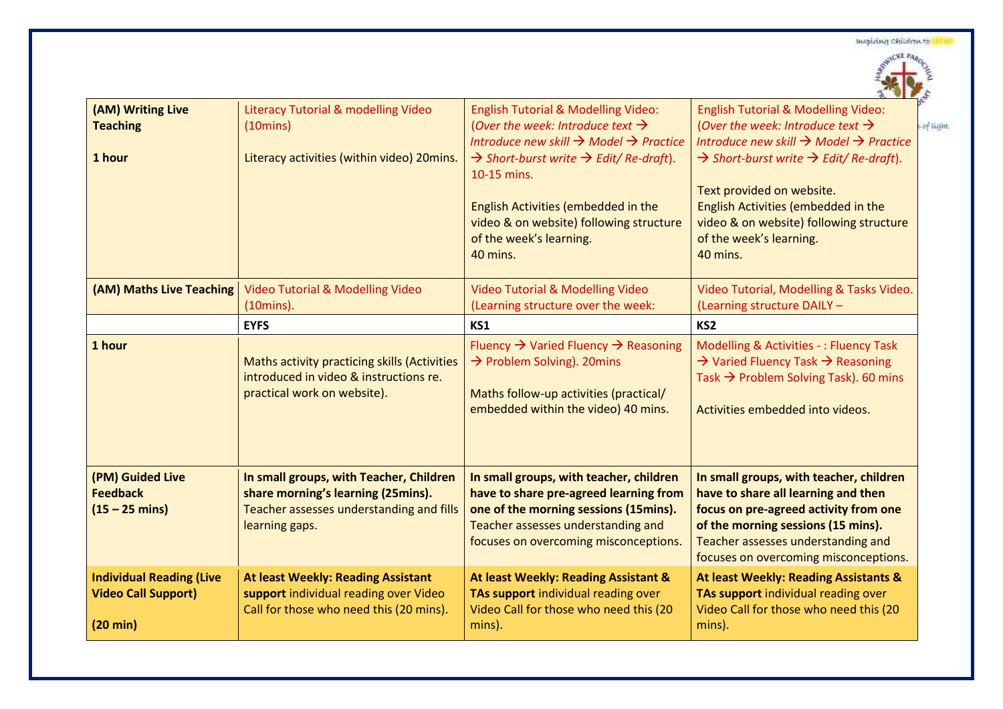|                                                                                     |                                                                                                                                             |                                                                                                                                                                                                                                                                                                                                                                           | $\sum_{i=1}^{n}$                                                                                                                                                                                                                                                                                                                                                                        |
|-------------------------------------------------------------------------------------|---------------------------------------------------------------------------------------------------------------------------------------------|---------------------------------------------------------------------------------------------------------------------------------------------------------------------------------------------------------------------------------------------------------------------------------------------------------------------------------------------------------------------------|-----------------------------------------------------------------------------------------------------------------------------------------------------------------------------------------------------------------------------------------------------------------------------------------------------------------------------------------------------------------------------------------|
| (AM) Writing Live<br><b>Teaching</b><br>1 hour                                      | Literacy Tutorial & modelling Video<br>$(10 \text{mins})$<br>Literacy activities (within video) 20mins.                                     | <b>English Tutorial &amp; Modelling Video:</b><br>(Over the week: Introduce text $\rightarrow$<br>Introduce new skill $\rightarrow$ Model $\rightarrow$ Practice<br>$\rightarrow$ Short-burst write $\rightarrow$ Edit/Re-draft).<br>10-15 mins.<br>English Activities (embedded in the<br>video & on website) following structure<br>of the week's learning.<br>40 mins. | <b>English Tutorial &amp; Modelling Video:</b><br>(Over the week: Introduce text $\rightarrow$<br>Introduce new skill $\rightarrow$ Model $\rightarrow$ Practice<br>$\rightarrow$ Short-burst write $\rightarrow$ Edit/Re-draft).<br>Text provided on website.<br>English Activities (embedded in the<br>video & on website) following structure<br>of the week's learning.<br>40 mins. |
| (AM) Maths Live Teaching                                                            | <b>Video Tutorial &amp; Modelling Video</b><br>$(10 \text{mins})$ .                                                                         | <b>Video Tutorial &amp; Modelling Video</b><br>(Learning structure over the week:                                                                                                                                                                                                                                                                                         | Video Tutorial, Modelling & Tasks Video.<br>(Learning structure DAILY -                                                                                                                                                                                                                                                                                                                 |
|                                                                                     | <b>EYFS</b>                                                                                                                                 | KS1                                                                                                                                                                                                                                                                                                                                                                       | KS <sub>2</sub>                                                                                                                                                                                                                                                                                                                                                                         |
| 1 hour                                                                              | Maths activity practicing skills (Activities<br>introduced in video & instructions re.<br>practical work on website).                       | Fluency $\rightarrow$ Varied Fluency $\rightarrow$ Reasoning<br>$\rightarrow$ Problem Solving). 20mins<br>Maths follow-up activities (practical/<br>embedded within the video) 40 mins.                                                                                                                                                                                   | <b>Modelling &amp; Activities -: Fluency Task</b><br>$\rightarrow$ Varied Fluency Task $\rightarrow$ Reasoning<br>Task $\rightarrow$ Problem Solving Task). 60 mins<br>Activities embedded into videos.                                                                                                                                                                                 |
| (PM) Guided Live<br><b>Feedback</b><br>$(15 - 25 \text{ mins})$                     | In small groups, with Teacher, Children<br>share morning's learning (25mins).<br>Teacher assesses understanding and fills<br>learning gaps. | In small groups, with teacher, children<br>have to share pre-agreed learning from<br>one of the morning sessions (15mins).<br>Teacher assesses understanding and<br>focuses on overcoming misconceptions.                                                                                                                                                                 | In small groups, with teacher, children<br>have to share all learning and then<br>focus on pre-agreed activity from one<br>of the morning sessions (15 mins).<br>Teacher assesses understanding and<br>focuses on overcoming misconceptions.                                                                                                                                            |
| <b>Individual Reading (Live</b><br><b>Video Call Support)</b><br>$(20 \text{ min})$ | <b>At least Weekly: Reading Assistant</b><br>support individual reading over Video<br>Call for those who need this (20 mins).               | At least Weekly: Reading Assistant &<br>TAs support individual reading over<br>Video Call for those who need this (20<br>mins).                                                                                                                                                                                                                                           | At least Weekly: Reading Assistants &<br>TAs support individual reading over<br>Video Call for those who need this (20<br>mins).                                                                                                                                                                                                                                                        |



of light